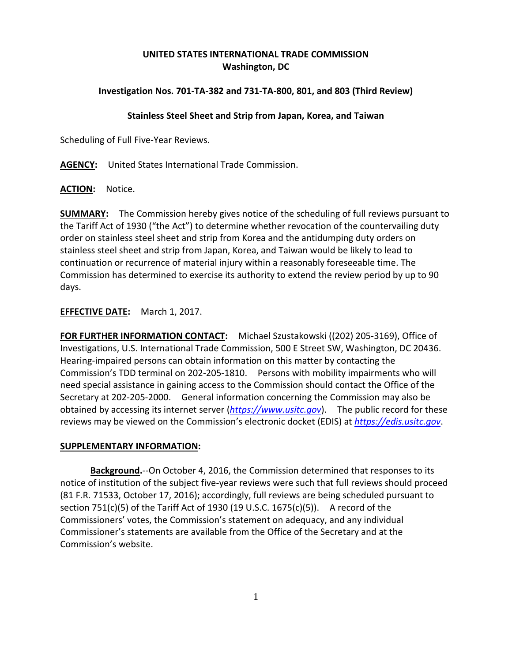# **UNITED STATES INTERNATIONAL TRADE COMMISSION Washington, DC**

## **Investigation Nos. 701-TA-382 and 731-TA-800, 801, and 803 (Third Review)**

### **Stainless Steel Sheet and Strip from Japan, Korea, and Taiwan**

Scheduling of Full Five-Year Reviews.

**AGENCY:** United States International Trade Commission.

**ACTION:** Notice.

**SUMMARY:** The Commission hereby gives notice of the scheduling of full reviews pursuant to the Tariff Act of 1930 ("the Act") to determine whether revocation of the countervailing duty order on stainless steel sheet and strip from Korea and the antidumping duty orders on stainless steel sheet and strip from Japan, Korea, and Taiwan would be likely to lead to continuation or recurrence of material injury within a reasonably foreseeable time. The Commission has determined to exercise its authority to extend the review period by up to 90 days.

### **EFFECTIVE DATE:** March 1, 2017.

**FOR FURTHER INFORMATION CONTACT:** Michael Szustakowski ((202) 205-3169), Office of Investigations, U.S. International Trade Commission, 500 E Street SW, Washington, DC 20436. Hearing-impaired persons can obtain information on this matter by contacting the Commission's TDD terminal on 202-205-1810. Persons with mobility impairments who will need special assistance in gaining access to the Commission should contact the Office of the Secretary at 202-205-2000. General information concerning the Commission may also be obtained by accessing its internet server (*[https://www.usitc.gov](https://www.usitc.gov/)*). The public record for these reviews may be viewed on the Commission's electronic docket (EDIS) at *[https://edis.usitc.gov](https://edis.usitc.gov/)*.

#### **SUPPLEMENTARY INFORMATION:**

**Background.**--On October 4, 2016, the Commission determined that responses to its notice of institution of the subject five-year reviews were such that full reviews should proceed (81 F.R. 71533, October 17, 2016); accordingly, full reviews are being scheduled pursuant to section 751(c)(5) of the Tariff Act of 1930 (19 U.S.C.  $1675(c)(5)$ ). A record of the Commissioners' votes, the Commission's statement on adequacy, and any individual Commissioner's statements are available from the Office of the Secretary and at the Commission's website.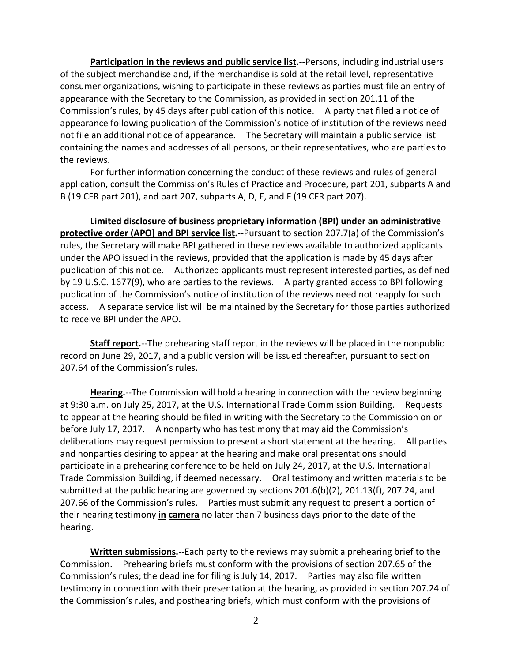**Participation in the reviews and public service list.**--Persons, including industrial users of the subject merchandise and, if the merchandise is sold at the retail level, representative consumer organizations, wishing to participate in these reviews as parties must file an entry of appearance with the Secretary to the Commission, as provided in section 201.11 of the Commission's rules, by 45 days after publication of this notice. A party that filed a notice of appearance following publication of the Commission's notice of institution of the reviews need not file an additional notice of appearance. The Secretary will maintain a public service list containing the names and addresses of all persons, or their representatives, who are parties to the reviews.

For further information concerning the conduct of these reviews and rules of general application, consult the Commission's Rules of Practice and Procedure, part 201, subparts A and B (19 CFR part 201), and part 207, subparts A, D, E, and F (19 CFR part 207).

**Limited disclosure of business proprietary information (BPI) under an administrative protective order (APO) and BPI service list.**--Pursuant to section 207.7(a) of the Commission's rules, the Secretary will make BPI gathered in these reviews available to authorized applicants under the APO issued in the reviews, provided that the application is made by 45 days after publication of this notice. Authorized applicants must represent interested parties, as defined by 19 U.S.C. 1677(9), who are parties to the reviews. A party granted access to BPI following publication of the Commission's notice of institution of the reviews need not reapply for such access. A separate service list will be maintained by the Secretary for those parties authorized to receive BPI under the APO.

**Staff report.**--The prehearing staff report in the reviews will be placed in the nonpublic record on June 29, 2017, and a public version will be issued thereafter, pursuant to section 207.64 of the Commission's rules.

**Hearing.**--The Commission will hold a hearing in connection with the review beginning at 9:30 a.m. on July 25, 2017, at the U.S. International Trade Commission Building. Requests to appear at the hearing should be filed in writing with the Secretary to the Commission on or before July 17, 2017. A nonparty who has testimony that may aid the Commission's deliberations may request permission to present a short statement at the hearing. All parties and nonparties desiring to appear at the hearing and make oral presentations should participate in a prehearing conference to be held on July 24, 2017, at the U.S. International Trade Commission Building, if deemed necessary. Oral testimony and written materials to be submitted at the public hearing are governed by sections 201.6(b)(2), 201.13(f), 207.24, and 207.66 of the Commission's rules. Parties must submit any request to present a portion of their hearing testimony **in camera** no later than 7 business days prior to the date of the hearing.

**Written submissions.**--Each party to the reviews may submit a prehearing brief to the Commission. Prehearing briefs must conform with the provisions of section 207.65 of the Commission's rules; the deadline for filing is July 14, 2017. Parties may also file written testimony in connection with their presentation at the hearing, as provided in section 207.24 of the Commission's rules, and posthearing briefs, which must conform with the provisions of